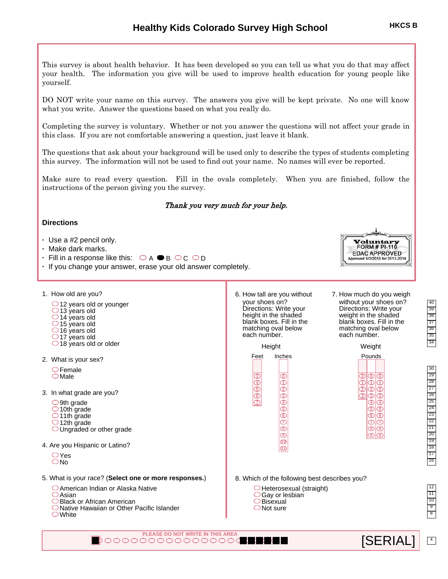This survey is about health behavior. It has been developed so you can tell us what you do that may affect your health. The information you give will be used to improve health education for young people like yourself.

DO NOT write your name on this survey. The answers you give will be kept private. No one will know what you write. Answer the questions based on what you really do.

Completing the survey is voluntary. Whether or not you answer the questions will not affect your grade in this class. If you are not comfortable answering a question, just leave it blank.

The questions that ask about your background will be used only to describe the types of students completing this survey. The information will not be used to find out your name. No names will ever be reported.

Make sure to read every question. Fill in the ovals completely. When you are finished, follow the instructions of the person giving you the survey.

# Thank you very much for your help.

# **Directions**

- **·** Use a #2 pencil only.
- **·** Make dark marks.
- $\cdot$  Fill in a response like this:  $\bigcirc_A \bullet_B \bigcirc_C \bigcirc_D$
- **·** If you change your answer, erase your old answer completely.
- 1. How old are you?
	- $\bigcirc$  12 years old or younger  $\bigcirc$  13 years old 14 years old  $\bigcirc$  15 years old  $\bigcirc$  16 years old  $\bigcirc$  17 years old  $\bigcirc$  18 years old or older
- 2. What is your sex?
	- $\bigcirc$ Female  $\bigcirc$  Male
- 3. In what grade are you?
	- $\bigcirc$ 9th grade  $\bigcirc$  10th grade O<sub>11th</sub> grade
	- $\bigcirc$  12th grade OUngraded or other grade
- 4. Are you Hispanic or Latino?
	- $\bigcirc$  Yes O<sub>No</sub>
- 5. What is your race? (**Select one or more responses.**)
	- American Indian or Alaska Native
	- $\bigcirc$ Asian
	- Black or African American
	- Native Hawaiian or Other Pacific Islander
	- White
- 6. How tall are you without your shoes on? Directions: Write your height in the shaded blank boxes. Fill in the matching oval below each number.
	- **3 4 5 6** Feet Inches **0 1 2 3 4 5 9 10 11** Height
- 7. How much do you weigh without your shoes on? Directions: Write your weight in the shaded blank boxes. Fill in the matching oval below each number.

Voluntar FORM #  $PI-110$ **EDAC APPROVED** pproved 5/3/2013 for 2013-2014

Weight

| Pounds |                   |    |  |  |
|--------|-------------------|----|--|--|
|        |                   |    |  |  |
| ι      | ത                 | ٢r |  |  |
|        |                   |    |  |  |
|        | ာ                 |    |  |  |
| u      | з                 |    |  |  |
|        | $\left( 4\right)$ |    |  |  |
|        | (51               | ŗ. |  |  |
|        |                   | ŗ. |  |  |
|        |                   | r. |  |  |
|        | D                 |    |  |  |
|        |                   |    |  |  |

 $\boxed{4}$ 

8. Which of the following best describes you?

- $\bigcirc$ Heterosexual (straight)
- ○Gay or lesbian
- $\bigcirc$ Bisexual ONot sure

**PLEASE DO NOT WRITE IN THIS AREA [SERIAL] SERIAL**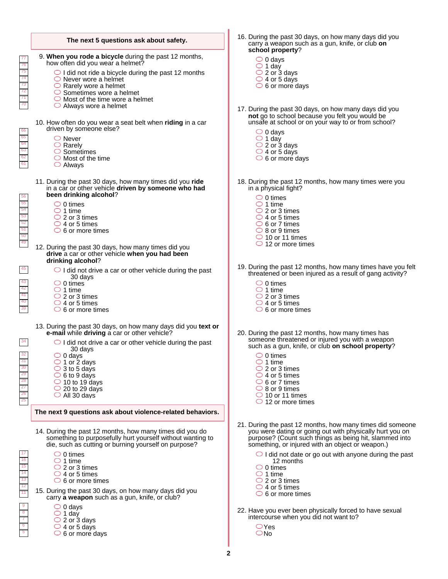|                                               | The next 5 questions ask about safety.                                                                                                                                                                                                                |  |  |
|-----------------------------------------------|-------------------------------------------------------------------------------------------------------------------------------------------------------------------------------------------------------------------------------------------------------|--|--|
| 77<br>76                                      | 9. When you rode a bicycle during the past 12 months,<br>how often did you wear a helmet?                                                                                                                                                             |  |  |
| 75<br>74<br>73<br>$\overline{72}$<br>71<br>70 | $\bigcirc$ I did not ride a bicycle during the past 12 months<br>$\bigcirc$ Never wore a helmet<br>$\bigcirc$ Rarely wore a helmet<br>$\circ$ Sometimes wore a helmet<br>$\bigcirc$ Most of the time wore a helmet<br>$\bigcirc$ Always wore a helmet |  |  |
| 66                                            | 10. How often do you wear a seat belt when riding in a car<br>driven by someone else?                                                                                                                                                                 |  |  |
| 65<br>64<br>63<br>62<br>61                    | $\bigcirc$ Never<br>$\bigcirc$ Rarely<br>$\circ$ Sometimes<br>$\bigcirc$ Most of the time<br>$\bigcirc$ Always                                                                                                                                        |  |  |
| 56                                            | 11. During the past 30 days, how many times did you ride<br>in a car or other vehicle driven by someone who had<br>been drinking alcohol?                                                                                                             |  |  |
| 55<br>54                                      | $\circ$ 0 times<br>$\bigcirc$ 1 time                                                                                                                                                                                                                  |  |  |
| 53<br>52                                      | $\bigcirc$ 2 or 3 times<br>$\bigcirc$ 4 or 5 times                                                                                                                                                                                                    |  |  |
| 51<br>50                                      | $\circ$ 6 or more times                                                                                                                                                                                                                               |  |  |
| 49                                            | 12. During the past 30 days, how many times did you<br>drive a car or other vehicle when you had been<br>drinking alcohol?                                                                                                                            |  |  |
| 45                                            | $\bigcirc$ I did not drive a car or other vehicle during the past<br>30 days                                                                                                                                                                          |  |  |
| 43<br>42                                      | $\circ$ 0 times<br>$\bigcirc$ 1 time                                                                                                                                                                                                                  |  |  |
| 41<br>40                                      | $\bigcirc$ 2 or 3 times<br>$\bigcirc$ 4 or 5 times                                                                                                                                                                                                    |  |  |
| 39                                            | $\circ$ 6 or more times                                                                                                                                                                                                                               |  |  |
|                                               | 13. During the past 30 days, on how many days did you text or<br>e-mail while driving a car or other vehicle?                                                                                                                                         |  |  |
| 34                                            | $\bigcirc$ I did not drive a car or other vehicle during the past<br>30 days                                                                                                                                                                          |  |  |
| 32<br>ا ت                                     | $\circ$ 0 days<br>$\bigcirc$ 1 or 2 days                                                                                                                                                                                                              |  |  |
| $\overline{30}$<br>29                         | $\bigcirc$ 3 to 5 days<br>$\circ$ 6 to 9 days                                                                                                                                                                                                         |  |  |
| 28<br>$\overline{27}$                         | $\bigcirc$ 10 to 19 days<br>$\bigcirc$ 20 to 29 days                                                                                                                                                                                                  |  |  |
| 26<br>25                                      | $\bigcirc$ All 30 davs                                                                                                                                                                                                                                |  |  |
|                                               | The next 9 questions ask about violence-related behaviors.                                                                                                                                                                                            |  |  |
|                                               | 14. During the past 12 months, how many times did you do<br>something to purposefully hurt yourself without wanting to<br>die, such as cutting or burning yourself on purpose?                                                                        |  |  |
| 17<br>16                                      | $\circlearrowright$ 0 times<br>$\bigcirc$ 1 time                                                                                                                                                                                                      |  |  |
| 15<br>14                                      | $\bigcirc$ 2 or 3 times<br>$\bigcirc$ 4 or 5 times                                                                                                                                                                                                    |  |  |
| 13<br>12                                      | $\circ$ 6 or more times                                                                                                                                                                                                                               |  |  |
| 11                                            | 15. During the past 30 days, on how many days did you<br>carry a weapon such as a gun, knife, or club?                                                                                                                                                |  |  |
| $\overline{9}$<br>$\overline{\bf 8}$          | $\cup$ 0 days                                                                                                                                                                                                                                         |  |  |
| 7<br>$\overline{6}$                           | $\bigcirc$ 1 day<br>$\bigcirc$ 2 or 3 days                                                                                                                                                                                                            |  |  |
| 5                                             | $\bigcirc$ 4 or 5 days<br>$\circ$ 6 or more days                                                                                                                                                                                                      |  |  |
|                                               |                                                                                                                                                                                                                                                       |  |  |

- 16. During the past 30 days, on how many days did you carry a weapon such as a gun, knife, or club **on school property**?
	- $\bigcirc$  0 days
	- 1 day
	- 2 or 3 days 4 or 5 days
	- $\circ$  6 or more days
- 17. During the past 30 days, on how many days did you **not** go to school because you felt you would be unsafe at school or on your way to or from school?
	- 0 days
	- 1 day
	- 2 or 3 days
	- $\bigcirc$  4 or 5 days
	- $\circ$  6 or more days
- 18. During the past 12 months, how many times were you in a physical fight?
	- $\bigcirc$  0 times
	- $\bigcirc$  1 time
	- 2 or 3 times
	- $\bigcirc$  4 or 5 times
	- 6 or 7 times 8 or 9 times
	- $\bigcirc$  10 or 11 times
	- $\bigcirc$  12 or more times
- 19. During the past 12 months, how many times have you felt threatened or been injured as a result of gang activity?
	- $\circ$  0 times
	- 1 time
	- 2 or 3 times  $\bigcirc$  4 or 5 times
	- $\bigcirc$  6 or more times
- 20. During the past 12 months, how many times has someone threatened or injured you with a weapon such as a gun, knife, or club **on school property**?
	- 0 times
	- 1 time
	- 2 or 3 times
	- $\bigcirc$  4 or 5 times
	- $\bigcirc$  6 or 7 times ○ 8 or 9 times
	- $\bigcirc$  10 or 11 times
	- $\bigcirc$  12 or more times
- 21. During the past 12 months, how many times did someone you were dating or going out with physically hurt you on purpose? (Count such things as being hit, slammed into something, or injured with an object or weapon.)
	- $\bigcirc$  I did not date or go out with anyone during the past 12 months
	- $\bigcirc$  0 times
	- $\overline{\bigcirc}$  1 time
	- $\bigcirc$  2 or 3 times
	- $\bigcirc$  4 or 5 times
	- $\circ$  6 or more times
- 22. Have you ever been physically forced to have sexual intercourse when you did not want to?
	- Yes O<sub>No</sub>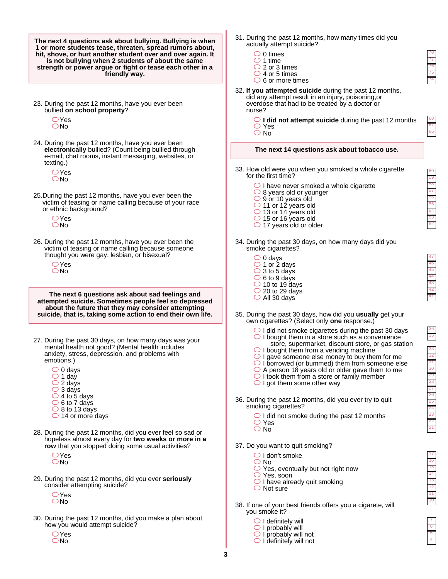60

66 67 68

35 36

**The next 4 questions ask about bullying. Bullying is when 1 or more students tease, threaten, spread rumors about, hit, shove, or hurt another student over and over again. It is not bullying when 2 students of about the same strength or power argue or fight or tease each other in a friendly way.**

- 23. During the past 12 months, have you ever been bullied **on school property**?
	- Yes  $\bigcirc$ No
- 24. During the past 12 months, have you ever been **electronically** bullied? (Count being bullied through e-mail, chat rooms, instant messaging, websites, or texting.)
	- $\bigcirc$  Yes  $\bigcirc$ No
- 25.During the past 12 months, have you ever been the victim of teasing or name calling because of your race or ethnic background?
	- $\bigcirc$  Yes No
- 26. During the past 12 months, have you ever been the victim of teasing or name calling because someone thought you were gay, lesbian, or bisexual?
	- $\bigcirc$  Yes  $ONo$

**The next 6 questions ask about sad feelings and attempted suicide. Sometimes people feel so depressed about the future that they may consider attempting suicide, that is, taking some action to end their own life.**

- 27. During the past 30 days, on how many days was your mental health not good? (Mental health includes anxiety, stress, depression, and problems with emotions.)
	- $\bigcirc$  0 days
	- $\bigcirc$  1 day
	- $\bigcirc$  2 days
	- $\bigcirc$  3 days
	- $\bigcirc$  4 to 5 days
	- $\circ$  6 to 7 days
	- 8 to 13 days
	- 14 or more days
- 28. During the past 12 months, did you ever feel so sad or hopeless almost every day for **two weeks or more in a row** that you stopped doing some usual activities?
	- $\bigcirc$ Yes  $\bigcirc$ No
- 29. During the past 12 months, did you ever **seriously** consider attempting suicide?
	- $\bigcirc$ Yes O<sub>No</sub>
- 30. During the past 12 months, did you make a plan about how you would attempt suicide?
	- $OYes$ No
- 31. During the past 12 months, how many times did you actually attempt suicide?
	- $\circ$  0 times
	- $\bigcirc$  1 time
	- $\bigcirc$  2 or 3 times
	- $\bigcirc$  4 or 5 times
	- $\bigcirc$  6 or more times
- 32. **If you attempted suicide** during the past 12 months, did any attempt result in an injury, poisoning,or overdose that had to be treated by a doctor or nurse?

**I did not attempt suicide** during the past 12 months Yes

○ No

### **The next 14 questions ask about tobacco use.**

- 33. How old were you when you smoked a whole cigarette for the first time?
	- $\supset$  I have never smoked a whole cigarette  $\bigcirc$  8 years old or younger
	- 9 or 10 years old
	- $\bigcirc$  11 or 12 years old
	- 13 or 14 years old
	- 15 or 16 years old
	- $\bigcirc$  17 years old or older
- 34. During the past 30 days, on how many days did you smoke cigarettes?
	- $\bigcirc$  0 days  $\bigcirc$  1 or 2 days  $\bigcirc$  3 to 5 days  $\circ$  6 to 9 days  $\bigcirc$  10 to 19 days
	- $\bigcirc$  20 to 29 days
	- All 30 days
- 35. During the past 30 days, how did you **usually** get your own cigarettes? (Select only **one** response.)
	- $\bigcirc$  I did not smoke cigarettes during the past 30 days  $\bigcirc$  I bought them in a store such as a convenience
	- store, supermarket, discount store, or gas station  $\bigcirc$  I bought them from a vending machine
	- $\bigcirc$  I gave someone else money to buy them for me
	- $\bigcirc$  I borrowed (or bummed) them from someone else
	- $\bigcirc$  A person 18 years old or older gave them to me
	- $\bigcirc$  I took them from a store or family member
	- $\bigcirc$  I got them some other way
- 36. During the past 12 months, did you ever try to quit smoking cigarettes?
	- $\bigcirc$  I did not smoke during the past 12 months ○ Yes
	- O No
- 37. Do you want to quit smoking?
	- $\bigcirc$  I don't smoke
	- O No
	- $\bigcirc$  Yes, eventually but not right now
	- Yes, soon
	- $\bigcirc$  I have already quit smoking
	- $\bigcirc$  Not sure
- 38. If one of your best friends offers you a cigarete, will you smoke it?
	- $\bigcirc$  I definitely will
	- $\bigcirc$  I probably will
	- $\bigcirc$  I probably will not
	- $\bigcirc$  I definitely will not

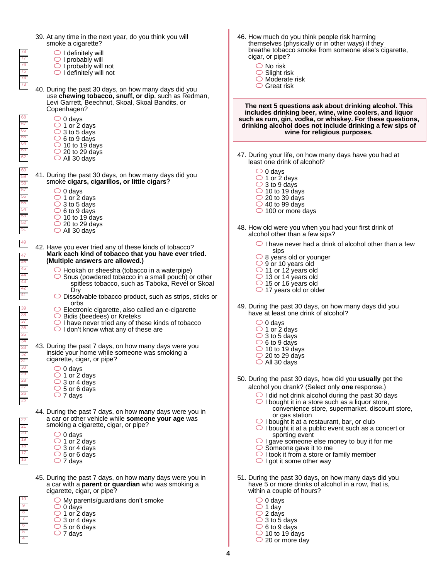- 6 7 8 9 10 16 17 18 19 20 21 22 25 26 27 28 29 30 31 32 33 34 35 36 37 38 39 41 42 43 44 45 46 47 49 51 52 53 54 55 56 57 58 59 60 62 63 64 65 66 67 68 73 74 75 76 77 78 44. During the past 7 days, on how many days were you in a car or other vehicle while **someone your age** was smoking a cigarette, cigar, or pipe?  $\bigcirc$  0 days  $\bigcirc$  1 or 2 days  $\bigcirc$  3 or 4 days  $\bigcirc$  5 or 6 days  $\bigcirc$  7 days 45. During the past 7 days, on how many days were you in a car with a **parent or guardian** who was smoking a cigarette, cigar, or pipe?  $\bigcirc$  My parents/guardians don't smoke  $\circ$  0 days 1 or 2 days 3 or 4 days  $\circ$  5 or 6 days 40. During the past 30 days, on how many days did you use **chewing tobacco, snuff, or dip**, such as Redman, Levi Garrett, Beechnut, Skoal, Skoal Bandits, or Copenhagen?  $\circ$  0 days  $\bigcirc$  1 or 2 days  $\bigcirc$  3 to 5 days  $\circ$  6 to 9 days  $\bigcirc$  10 to 19 days  $\bigcirc$  20 to 29 days All 30 days 42. Have you ever tried any of these kinds of tobacco?  **Mark each kind of tobacco that you have ever tried. (Multiple answers are allowed.)** 41. During the past 30 days, on how many days did you smoke **cigars, cigarillos, or little cigars**?  $\bigcirc$  Hookah or sheesha (tobacco in a waterpipe)  $\bigcirc$  Snus (powdered tobacco in a small pouch) or other spitless tobacco, such as Taboka, Revel or Skoal Dry  $\bigcirc$  Dissolvable tobacco product, such as strips, sticks or orbs  $\bigcirc$  Electronic cigarette, also called an e-cigarette Bidis (beedees) or Kreteks I have never tried any of these kinds of tobacco  $\bigcirc$  I don't know what any of these are 43. During the past 7 days, on how many days were you inside your home while someone was smoking a cigarette, cigar, or pipe?  $\bigcirc$  0 days 1 or 2 days  $\bigcirc$  3 to 5 days  $\circ$  6 to 9 days  $\bigcirc$  10 to 19 days  $\bigcirc$  20 to 29 days All 30 days  $\bigcirc$  0 days  $\bigcirc$  1 or 2 days 3 or 4 days  $\bigcirc$  5 or 6 days  $\bigcirc$  7 days 39. At any time in the next year, do you think you will smoke a cigarette?  $\bigcirc$  I definitely will  $\bigcirc$  I probably will  $\bigcirc$  I probably will not  $\bigcirc$  I definitely will not
	- $\bigcirc$  7 days

- 46. How much do you think people risk harming themselves (physically or in other ways) if they breathe tobacco smoke from someone else's cigarette, cigar, or pipe?
	- No risk
	- $\overline{\bigcirc}$  Slight risk
	- $\bigcirc$  Moderate risk
	- $\bigcirc$  Great risk

**The next 5 questions ask about drinking alcohol. This includes drinking beer, wine, wine coolers, and liquor such as rum, gin, vodka, or whiskey. For these questions, drinking alcohol does not include drinking a few sips of wine for religious purposes.**

47. During your life, on how many days have you had at least one drink of alcohol?

| 0 davs |  |
|--------|--|
|--------|--|

- 1 or 2 days
- 3 to 9 days
- $\bigcirc$  10 to 19 days
- $\bigcirc$  20 to 39 days  $\bigcirc$  40 to 99 days
- $\bigcirc$  100 or more days
- 48. How old were you when you had your first drink of alcohol other than a few sips?
	- $\bigcirc$  I have never had a drink of alcohol other than a few sips
	- $\bigcirc$  8 years old or younger
	- 9 or 10 years old
	- 11 or 12 years old
	- 13 or 14 years old
	- 15 or 16 years old
	- $\bigcirc$  17 years old or older
- 49. During the past 30 days, on how many days did you have at least one drink of alcohol?
	- $\bigcirc$  0 days
	- $\bigcirc$  1 or 2 days
	- $\bigcirc$  3 to 5 days
	- $\overline{\bigcirc}$  6 to 9 days
	- $\bigcirc$  10 to 19 days
	- $\bigcirc$  20 to 29 days
	- $\bigcirc$  All 30 days
- 50. During the past 30 days, how did you **usually** get the alcohol you drank? (Select only **one** response.)
	- $\bigcirc$  I did not drink alcohol during the past 30 days
		- $\bigcirc$  I bought it in a store such as a liquor store, convenience store, supermarket, discount store, or gas station
		- $\bigcirc$  I bought it at a restaurant, bar, or club
		- $\bigcirc$  I bought it at a public event such as a concert or sporting event
		- $\bigcirc$  I gave someone else money to buy it for me
		- Someone gave it to me
		- I took it from a store or family member  $\bigcirc$  I got it some other way
		-
- 51. During the past 30 days, on how many days did you have 5 or more drinks of alcohol in a row, that is, within a couple of hours?
	- $\bigcirc$  0 days
	- $\bigcirc$  1 day
	- 2 days
	- 3 to 5 days
	- $\circ$  6 to 9 days
	- $\bigcirc$  10 to 19 days  $\bigcirc$  20 or more day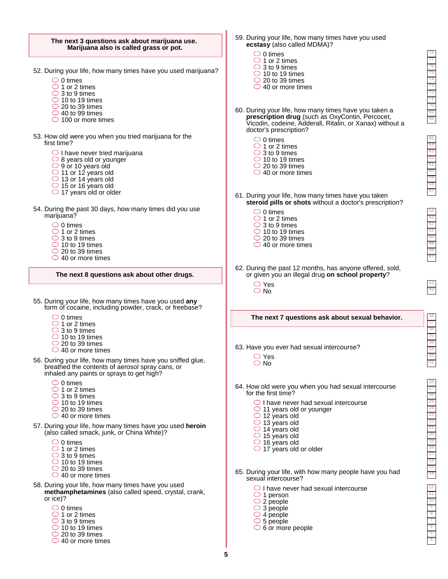59. During your life, how many times have you used

38

27 28

4 5

#### **The next 3 questions ask about marijuana use. Marijuana also is called grass or pot.** 52. During your life, how many times have you used marijuana? 53. How old were you when you tried marijuana for the first time?  $\bigcirc$  I have never tried marijuana  $\bigcirc$  8 years old or younger 9 or 10 years old 11 or 12 years old 13 or 14 years old  $\bigcirc$  15 or 16 years old  $\bigcirc$  17 years old or older 54. During the past 30 days, how many times did you use marijuana?  $\bigcirc$  0 times  $\bigcirc$  1 or 2 times  $\bigcirc$  3 to 9 times  $\bigcirc$  10 to 19 times  $\bigcirc$  20 to 39 times  $\bigcirc$  40 to 99 times  $\bigcirc$  100 or more times  $\bigcirc$  0 times  $\bigcirc$  1 or 2 times  $\overline{\bigcirc}$  3 to 9 times  $\bigcirc$  10 to 19 times  $\bigcirc$  20 to 39 times  $\bigcirc$  40 or more times **The next 8 questions ask about other drugs.** 55. During your life, how many times have you used **any** form of cocaine, including powder, crack, or freebase? 56. During your life, how many times have you sniffed glue, breathed the contents of aerosol spray cans, or inhaled any paints or sprays to get high? 57. During your life, how many times have you used **heroin** (also called smack, junk, or China White)?  $\bigcirc$  0 times  $\bigcirc$  1 or 2 times  $\bigcirc$  3 to 9 times  $\bigcirc$  10 to 19 times  $\bigcirc$  20 to 39 times ◯ 40 or more times  $\circ$  0 times  $\bigcirc$  1 or 2 times  $\overline{\bigcirc}$  3 to 9 times  $\bigcirc$  10 to 19 times  $\bigcirc$  20 to 39 times ◯ 40 or more times  $\circ$  0 times  $\bigcirc$  1 or 2 times  $\bigcirc$  3 to 9 times  $\bigcirc$  10 to 19 times  $\bigcirc$  20 to 39 times ◯ 40 or more times  $\bigcirc$  0 times  $\bigcirc$  1 or 2 times  $\bigcirc$  3 to 9 times  $\bigcirc$  10 to 19 times  $\bigcirc$  20 to 39 times 58. During your life, how many times have you used **methamphetamines** (also called speed, crystal, crank, or ice)? **ecstasy** (also called MDMA)?  $\circ$  0 times  $\bigcirc$  1 or 2 times  $\bigcirc$  3 to 9 times  $\bigcirc$  10 to 19 times  $\overline{\bigcirc}$  20 to 39 times  $\bigcirc$  40 or more times 62. During the past 12 months, has anyone offered, sold, or given you an illegal drug **on school property**? Yes  $\bigcirc$  No **The next 7 questions ask about sexual behavior.** 63. Have you ever had sexual intercourse? 64. How old were you when you had sexual intercourse for the first time?  $\bigcirc$  I have never had sexual intercourse  $\bigcirc$  11 years old or younger 12 years old  $\bigcirc$  13 years old 14 years old 15 years old  $\bigcirc$  16 years old  $\bigcirc$  17 years old or older 65. During your life, with how many people have you had sexual intercourse?  $\bigcirc$  I have never had sexual intercourse 1 person 2 people  $\bigcirc$  3 people  $\bigcirc$  4 people  $\circ$  5 people  $\circ$  6 or more people ○ Yes O No 61. During your life, how many times have you taken **steroid pills or shots** without a doctor's prescription?  $\circ$  0 times  $\bigcirc$  1 or 2 times  $\bigcirc$  3 to 9 times  $\bigcirc$  10 to 19 times  $\bigcirc$  20 to 39 times  $\bigcirc$  40 or more times 60. During your life, how many times have you taken a **prescription drug** (such as OxyContin, Percocet, Vicodin, codeine, Adderall, Ritalin, or Xanax) without a doctor's prescription?  $\bigcirc$  0 times  $\overline{\bigcirc}$  1 or 2 times  $\bigcirc$  3 to 9 times  $\bigcirc$  10 to 19 times  $\bigcirc$  20 to 39 times ○ 40 or more times

○ 40 or more times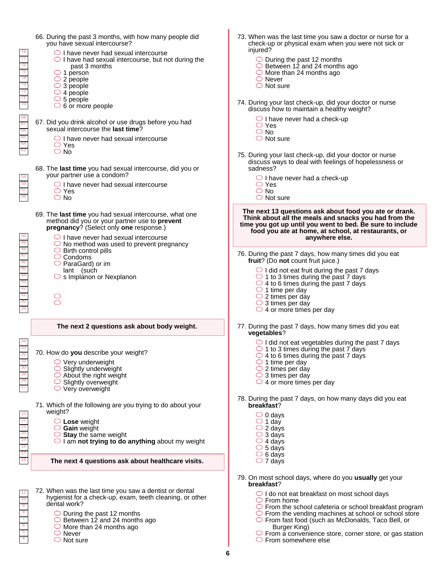| 76<br>75<br>74<br>73<br>72<br>$\frac{68}{67}$<br>66                                                                                 | 66. During the past 3 months, with how many people did<br>you have sexual intercourse?<br>$\bigcirc$ I have never had sexual intercourse<br>$\bigcirc$ I have had sexual intercourse, but not during the<br>past 3 months<br>$\circ$ 1 person<br>$\bigcirc$ 2 people<br>$\bigcirc$ 3 people<br>$\bigcirc$ 4 people<br>$\circ$ 5 people<br>$\circ$ 6 or more people<br>67. Did you drink alcohol or use drugs before you had<br>sexual intercourse the last time?<br>$\bigcirc$ I have never had sexual intercourse<br>$\bigcirc$ Yes<br>$\bigcirc$ No<br>68. The last time you had sexual intercourse, did you or<br>your partner use a condom?<br>$\bigcirc$ I have never had sexual intercourse<br>$\bigcirc$ Yes<br>$\bigcirc$ No | 73. When was the last time you saw a doctor or nurse for a<br>check-up or physical exam when you were not sick or<br>injured?<br>$\bigcirc$ During the past 12 months<br>$\circ$ Between 12 and 24 months ago<br>$\circ$ More than 24 months ago<br>$\bigcirc$ Never<br>$\bigcirc$ Not sure<br>74. During your last check-up, did your doctor or nurse<br>discuss how to maintain a healthy weight?<br>$\bigcirc$ I have never had a check-up<br>$\bigcirc$ Yes<br>$\bigcirc$ No<br>$\bigcirc$ Not sure<br>75. During your last check-up, did your doctor or nurse<br>discuss ways to deal with feelings of hopelessness or<br>sadness?<br>$\bigcirc$ I have never had a check-up<br>$\bigcirc$ Yes<br>$\bigcirc$ No<br>$\bigcirc$ Not sure |
|-------------------------------------------------------------------------------------------------------------------------------------|--------------------------------------------------------------------------------------------------------------------------------------------------------------------------------------------------------------------------------------------------------------------------------------------------------------------------------------------------------------------------------------------------------------------------------------------------------------------------------------------------------------------------------------------------------------------------------------------------------------------------------------------------------------------------------------------------------------------------------------|---------------------------------------------------------------------------------------------------------------------------------------------------------------------------------------------------------------------------------------------------------------------------------------------------------------------------------------------------------------------------------------------------------------------------------------------------------------------------------------------------------------------------------------------------------------------------------------------------------------------------------------------------------------------------------------------------------------------------------------------|
|                                                                                                                                     | 69. The last time you had sexual intercourse, what one<br>method did you or your partner use to prevent<br>pregnancy? (Select only one response.)<br>$\bigcirc$ I have never had sexual intercourse<br>$\bigcirc$ No method was used to prevent pregnancy                                                                                                                                                                                                                                                                                                                                                                                                                                                                            | The next 13 questions ask about food you ate or drank.<br>Think about all the meals and snacks you had from the<br>time you got up until you went to bed. Be sure to include<br>food you ate at home, at school, at restaurants, or<br>anywhere else.                                                                                                                                                                                                                                                                                                                                                                                                                                                                                       |
| $\frac{49}{48}$ $\frac{47}{45}$<br>44<br>43<br>41<br>40                                                                             | $\bigcirc$ Birth control pills<br>$\circ$ Condoms<br>$\bigcirc$ ParaGard) or im<br>lant (such<br>$\circ$ s Implanon or Nexplanon<br>$\bigcap$                                                                                                                                                                                                                                                                                                                                                                                                                                                                                                                                                                                        | 76. During the past 7 days, how many times did you eat<br>fruit? (Do not count fruit juice.)<br>$\bigcirc$ I did not eat fruit during the past 7 days<br>$\bigcirc$ 1 to 3 times during the past 7 days<br>$\bigcirc$ 4 to 6 times during the past 7 days<br>$\bigcirc$ 1 time per day<br>$\bigcirc$ 2 times per day<br>$\bigcirc$ 3 times per day<br>$\bigcirc$ 4 or more times per day                                                                                                                                                                                                                                                                                                                                                    |
|                                                                                                                                     | The next 2 questions ask about body weight.                                                                                                                                                                                                                                                                                                                                                                                                                                                                                                                                                                                                                                                                                          | 77. During the past 7 days, how many times did you eat<br>vegetables?                                                                                                                                                                                                                                                                                                                                                                                                                                                                                                                                                                                                                                                                       |
|                                                                                                                                     | 70. How do you describe your weight?<br>$\circlearrowright$ Very underweight<br>$\circ$ Slightly underweight<br>$\bigcirc$ About the right weight<br>$\circ$ Slightly overweight<br>$\bigcirc$ Very overweight                                                                                                                                                                                                                                                                                                                                                                                                                                                                                                                       | $\bigcirc$ I did not eat vegetables during the past 7 days<br>$\bigcirc$ 1 to 3 times during the past 7 days<br>$\cup$ 4 to 6 times during the past 7 days<br>$\circ$ 1 time per day<br>$\bigcirc$ 2 times per day<br>$\bigcirc$ 3 times per day<br>$\bigcirc$ 4 or more times per day                                                                                                                                                                                                                                                                                                                                                                                                                                                      |
| 23<br>$\begin{array}{r} \n \overline{21} \\  \overline{20} \\  \overline{19} \\  \end{array}$<br>18<br>$\overline{17}$<br><b>16</b> | 71. Which of the following are you trying to do about your<br>weight?<br>$\bigcirc$ Lose weight<br>$\circ$ Gain weight<br>$\circ$ Stay the same weight<br>$\bigcirc$ I am not trying to do anything about my weight<br>The next 4 questions ask about healthcare visits.                                                                                                                                                                                                                                                                                                                                                                                                                                                             | 78. During the past 7 days, on how many days did you eat<br>breakfast?<br>$\bigcirc$ 0 days<br>$\bigcirc$ 1 day<br>$\bigcirc$ 2 days<br>$\bigcirc$ 3 days<br>$\bigcirc$ 4 days<br>$\circ$ 5 days<br>$\circ$ 6 days<br>$\bigcirc$ 7 days                                                                                                                                                                                                                                                                                                                                                                                                                                                                                                     |
|                                                                                                                                     |                                                                                                                                                                                                                                                                                                                                                                                                                                                                                                                                                                                                                                                                                                                                      | 79. On most school days, where do you usually get your                                                                                                                                                                                                                                                                                                                                                                                                                                                                                                                                                                                                                                                                                      |
| 10<br>$-9$<br>$\overline{6}$                                                                                                        | 72. When was the last time you saw a dentist or dental<br>hygienist for a check-up, exam, teeth cleaning, or other<br>dental work?<br>$\circ$ During the past 12 months<br>$\circ$ Between 12 and 24 months ago<br>$\circ$ More than 24 months ago<br>$\bigcirc$ Never<br>$\bigcirc$ Not sure                                                                                                                                                                                                                                                                                                                                                                                                                                        | breakfast?<br>$\bigcirc$ I do not eat breakfast on most school days<br>$\circ$ From home<br>$\bigcirc$ From the school cafeteria or school breakfast program<br>$\circ$ From the vending machines at school or school store<br>$\circ$ From fast food (such as McDonalds, Taco Bell, or<br>Burger King)<br>O From a convenience store, corner store, or gas station<br>$\circ$ From somewhere else                                                                                                                                                                                                                                                                                                                                          |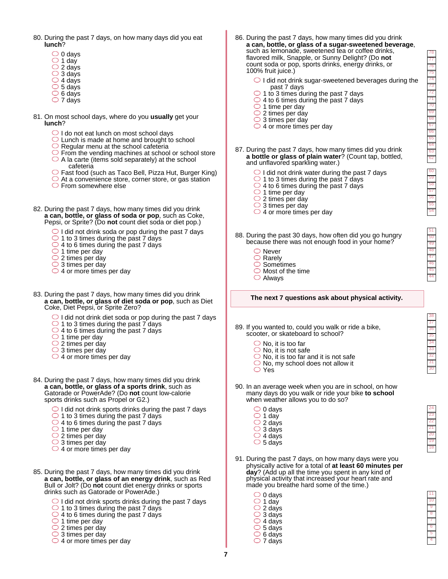78

44 45 46

- 18 19 20 21 22 23 24
- 4 5 6 7 8 9 10 11
- 80. During the past 7 days, on how many days did you eat **lunch**?
	- $\bigcirc$  0 days  $\bigcirc$  1 day  $\bigcirc$  2 days  $\bigcirc$  3 days  $\overline{\bigcirc}$  4 days
	- $\circ$  5 days  $\circ$  6 days
	- $\bigcirc$  7 days
- 81. On most school days, where do you **usually** get your **lunch**?
	- $\bigcirc$  I do not eat lunch on most school days
	- $\bigcirc$  Lunch is made at home and brought to school
	- $\bigcirc$  Regular menu at the school cafeteria
	- From the vending machines at school or school store  $\bigcirc$  A la carte (items sold separately) at the school cafeteria
	- Fast food (such as Taco Bell, Pizza Hut, Burger King)
	- $\bigcirc$  At a convenience store, corner store, or gas station
	- From somewhere else
- 82. During the past 7 days, how many times did you drink **a can, bottle, or glass of soda or pop**, such as Coke, Pepsi, or Sprite? (Do **not** count diet soda or diet pop.)
	- $\bigcirc$  I did not drink soda or pop during the past 7 days
	- $\bigcirc$  1 to 3 times during the past 7 days
	- $\bigcirc$  4 to 6 times during the past 7 days
	- $\bigcirc$  1 time per day
	- $\bigcirc$  2 times per day
	- $\bigcirc$  3 times per day
	- $\bigcirc$  4 or more times per day
- 83. During the past 7 days, how many times did you drink  **a can, bottle, or glass of diet soda or pop**, such as Diet Coke, Diet Pepsi, or Sprite Zero?
	- $\bigcirc$  I did not drink diet soda or pop during the past 7 days
	- $\bigcirc$  1 to 3 times during the past 7 days
	- $\bigcirc$  4 to 6 times during the past 7 days
	- $\bigcirc$  1 time per day
	- 2 times per day
	- 3 times per day
	- $\bigcirc$  4 or more times per day
- 84. During the past 7 days, how many times did you drink  **a can, bottle, or glass of a sports drink**, such as Gatorade or PowerAde? (Do **not** count low-calorie sports drinks such as Propel or G2.)
	- $\bigcirc$  I did not drink sports drinks during the past 7 days
	- $\overline{\bigcirc}$  1 to 3 times during the past  $\overline{7}$  days
	- $\bigcirc$  4 to 6 times during the past 7 days
	- $\bigcirc$  1 time per day
	- $\bigcirc$  2 times per day
	- $\bigcirc$  3 times per day  $\bigcirc$  4 or more times per day
- 85. During the past 7 days, how many times did you drink  **a can, bottle, or glass of an energy drink**, such as Red Bull or Jolt? (Do **not** count diet energy drinks or sports drinks such as Gatorade or PowerAde.)
	- $\bigcirc$  I did not drink sports drinks during the past 7 days
	- $\bigcirc$  1 to 3 times during the past  $\frac{7}{7}$  days
	- $\bigcirc$  4 to 6 times during the past 7 days  $\bigcirc$  1 time per day
	- $\bigcirc$  2 times per day
	- $\bigcirc$  3 times per day
	- $\bigcirc$  4 or more times per day
- 86. During the past 7 days, how many times did you drink  **a can, bottle, or glass of a sugar-sweetened beverage**, such as lemonade, sweetened tea or coffee drinks, flavored milk, Snapple, or Sunny Delight? (Do **not** count soda or pop, sports drinks, energy drinks, or 100% fruit juice.)
	- $\bigcirc$  I did not drink sugar-sweetened beverages during the past 7 days
	- $\bigcirc$  1 to 3 times during the past 7 days
	- $\bigcirc$  4 to 6 times during the past 7 days
	- $\bigcirc$  1 time per day
	- $\bigcirc$  2 times per day
	- $\bigcirc$  3 times per day
	- $\bigcirc$  4 or more times per day
- 87. During the past 7 days, how many times did you drink  **a bottle or glass of plain water**? (Count tap, bottled, and unflavored sparkling water.)
	- $\bigcirc$  I did not drink water during the past 7 days
	- $\bigcirc$  1 to 3 times during the past 7 days
	- $\bigcirc$  4 to 6 times during the past 7 days
	- $\overline{\bigcirc}$  1 time per day
	- $\bigcirc$  2 times per day
	- $\bigcirc$  3 times per day  $\bigcirc$  4 or more times per day
- 88. During the past 30 days, how often did you go hungry because there was not enough food in your home?
	- ◯ Never
	- $\bigcirc$  Rarely
	- $\bigcirc$  Sometimes
	- $\bigcirc$  Most of the time
	- Always

## **The next 7 questions ask about physical activity.**

- 89. If you wanted to, could you walk or ride a bike, scooter, or skateboard to school?
	- $\bigcirc$  No, it is too far
	- $\bigcirc$  No, it is not safe
	- $\bigcirc$  No, it is too far and it is not safe
	- No, my school does not allow it
	- Yes
- 90. In an average week when you are in school, on how many days do you walk or ride your bike **to school** when weather allows you to do so?
	- 0 days 1 day  $\bigcirc$  2 days
	- $\bigcirc$  3 days
	- $\bigcirc$  4 days  $\circ$  5 days
- 91. During the past 7 days, on how many days were you physically active for a total of **at least 60 minutes per day**? (Add up all the time you spent in any kind of physical activity that increased your heart rate and
	- made you breathe hard some of the time.)  $\bigcirc$  0 days  $\bigcirc$  1 day  $\overline{\bigcirc}$  2 days  $\bigcirc$  3 days  $\bigcirc$  4 days
		- $\circ$  5 days
		- $\circ$  6 days  $\bigcirc$  7 days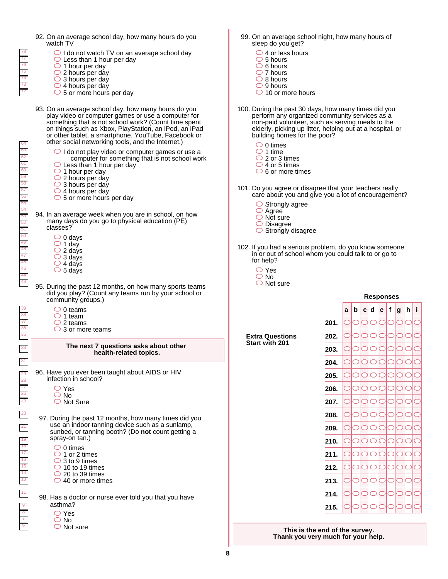- 92. On an average school day, how many hours do you watch TV
	- $\bigcirc$  I do not watch TV on an average school day
	- ◯ Less than 1 hour per day
	- $\bigcirc$  1 hour per day
	- $\bigcirc$  2 hours per day
	- $\bigcirc$  3 hours per day
	- $\bigcirc$  4 hours per day
	- $\circ$  5 or more hours per day
- 93. On an average school day, how many hours do you play video or computer games or use a computer for something that is not school work? (Count time spent on things such as Xbox, PlayStation, an iPod, an iPad or other tablet, a smartphone, YouTube, Facebook or other social networking tools, and the Internet.)
	- $\bigcirc$  I do not play video or computer games or use a computer for something that is not school work
	- $\bigcirc$  Less than 1 hour per day
	- $\bigcirc$  1 hour per day
	- 2 hours per day
	- 3 hours per day
	- $\bigcirc$  4 hours per day
	- $\circ$  5 or more hours per day
- 94. In an average week when you are in school, on how many days do you go to physical education (PE) classes?
	- $\bigcirc$  0 days 1 day 2 days
	- 3 days
	- $\bigcirc$  4 days
	- $\circ$  5 days
- 95. During the past 12 months, on how many sports teams did you play? (Count any teams run by your school or community groups.)
	- $\bigcirc$  0 teams  $\circ$  1 team
	- $\bigcirc$  2 teams
	- $\bigcirc$  3 or more teams

#### **The next 7 questions asks about other health-related topics.**

96. Have you ever been taught about AIDS or HIV infection in school?

- ◯ Yes
- No
- $\bigcirc$  Not Sure
- 97. During the past 12 months, how many times did you use an indoor tanning device such as a sunlamp, sunbed, or tanning booth? (Do **not** count getting a spray-on tan.)

 $\circ$  0 times

- $\bigcirc$  1 or 2 times  $\bigcirc$  3 to 9 times
- $\bigcirc$  10 to 19 times
- $\bigcirc$  20 to 39 times
- $\bigcirc$  40 or more times

 98. Has a doctor or nurse ever told you that you have asthma?

Yes O No

 $\bigcirc$  Not sure

- 99. On an average school night, how many hours of sleep do you get?
	- $\bigcirc$  4 or less hours
	- $\circ$  5 hours
	- $\bigcirc$  6 hours  $\bigcirc$  7 hours
	- $\bigcirc$  8 hours
	- $\bigcirc$  9 hours
	- $\bigcirc$  10 or more hours
- 100. During the past 30 days, how many times did you perform any organized community services as a non-paid volunteer, such as serving meals to the elderly, picking up litter, helping out at a hospital, or building homes for the poor?
	- $\bigcirc$  0 times
	- $\bigcirc$  1 time
	- $\bigcirc$  2 or 3 times
	- $\bigcirc$  4 or 5 times
	- $\circ$  6 or more times
- 101. Do you agree or disagree that your teachers really care about you and give you a lot of encouragement?
	- Strongly agree
	- $\bigcirc$  Agree
	- $\bigcirc$  Not sure
	- $\bigcirc$  Disagree
	- $\bigcirc$  Strongly disagree
- 102. If you had a serious problem, do you know someone in or out of school whom you could talk to or go to for help?
	- Yes
	- O No
	- $\bigcirc$  Not sure
- **a b c d e f g h i 201. 202. 203. 204. 205. 206. 207. 208. 209. 210. 211. 212. 213. 214. 215.**

**Responses**

**This is the end of the survey. Thank you very much for your help.**

**Extra Questions Start with 201**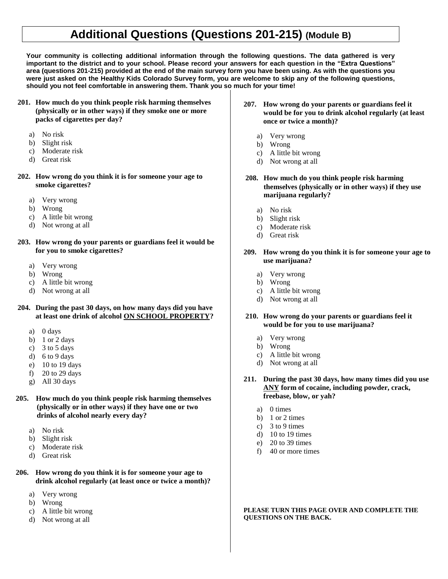# **Additional Questions (Questions 201-215) (Module B)**

**Your community is collecting additional information through the following questions. The data gathered is very important to the district and to your school. Please record your answers for each question in the "Extra Questions" area (questions 201-215) provided at the end of the main survey form you have been using. As with the questions you were just asked on the Healthy Kids Colorado Survey form, you are welcome to skip any of the following questions, should you not feel comfortable in answering them. Thank you so much for your time!** 

- **201. How much do you think people risk harming themselves (physically or in other ways) if they smoke one or more packs of cigarettes per day?** 
	- a) No risk
	- b) Slight risk
	- c) Moderate risk
	- d) Great risk
- **202. How wrong do you think it is for someone your age to smoke cigarettes?**
	- a) Very wrong
	- b) Wrong
	- c) A little bit wrong
	- d) Not wrong at all
- **203. How wrong do your parents or guardians feel it would be for you to smoke cigarettes?**
	- a) Very wrong
	- b) Wrong
	- c) A little bit wrong
	- d) Not wrong at all

# **204. During the past 30 days, on how many days did you have at least one drink of alcohol ON SCHOOL PROPERTY?**

- a) 0 days
- b)  $1$  or  $2$  days
- c)  $3$  to  $5$  days
- d) 6 to 9 days
- e) 10 to 19 days
- f) 20 to 29 days
- g) All 30 days
- **205. How much do you think people risk harming themselves (physically or in other ways) if they have one or two drinks of alcohol nearly every day?**
	- a) No risk
	- b) Slight risk
	- c) Moderate risk
	- d) Great risk
- **206. How wrong do you think it is for someone your age to drink alcohol regularly (at least once or twice a month)?**
	- a) Very wrong
	- b) Wrong
	- c) A little bit wrong
	- d) Not wrong at all
- **207. How wrong do your parents or guardians feel it would be for you to drink alcohol regularly (at least once or twice a month)?**
	- a) Very wrong
	- b) Wrong
	- c) A little bit wrong
	- d) Not wrong at all
- **208. How much do you think people risk harming themselves (physically or in other ways) if they use marijuana regularly?** 
	- a) No risk
	- b) Slight risk
	- c) Moderate risk
	- d) Great risk

# **209. How wrong do you think it is for someone your age to use marijuana?**

- a) Very wrong
- b) Wrong
- c) A little bit wrong
- d) Not wrong at all
- **210. How wrong do your parents or guardians feel it would be for you to use marijuana?**
	- a) Very wrong
	- b) Wrong
	- c) A little bit wrong
	- d) Not wrong at all
- **211. During the past 30 days, how many times did you use ANY form of cocaine, including powder, crack, freebase, blow, or yah?**
	- a) 0 times
	- b) 1 or 2 times
	- c) 3 to 9 times
	- d) 10 to 19 times
	- e) 20 to 39 times
	- f) 40 or more times

**PLEASE TURN THIS PAGE OVER AND COMPLETE THE QUESTIONS ON THE BACK.**